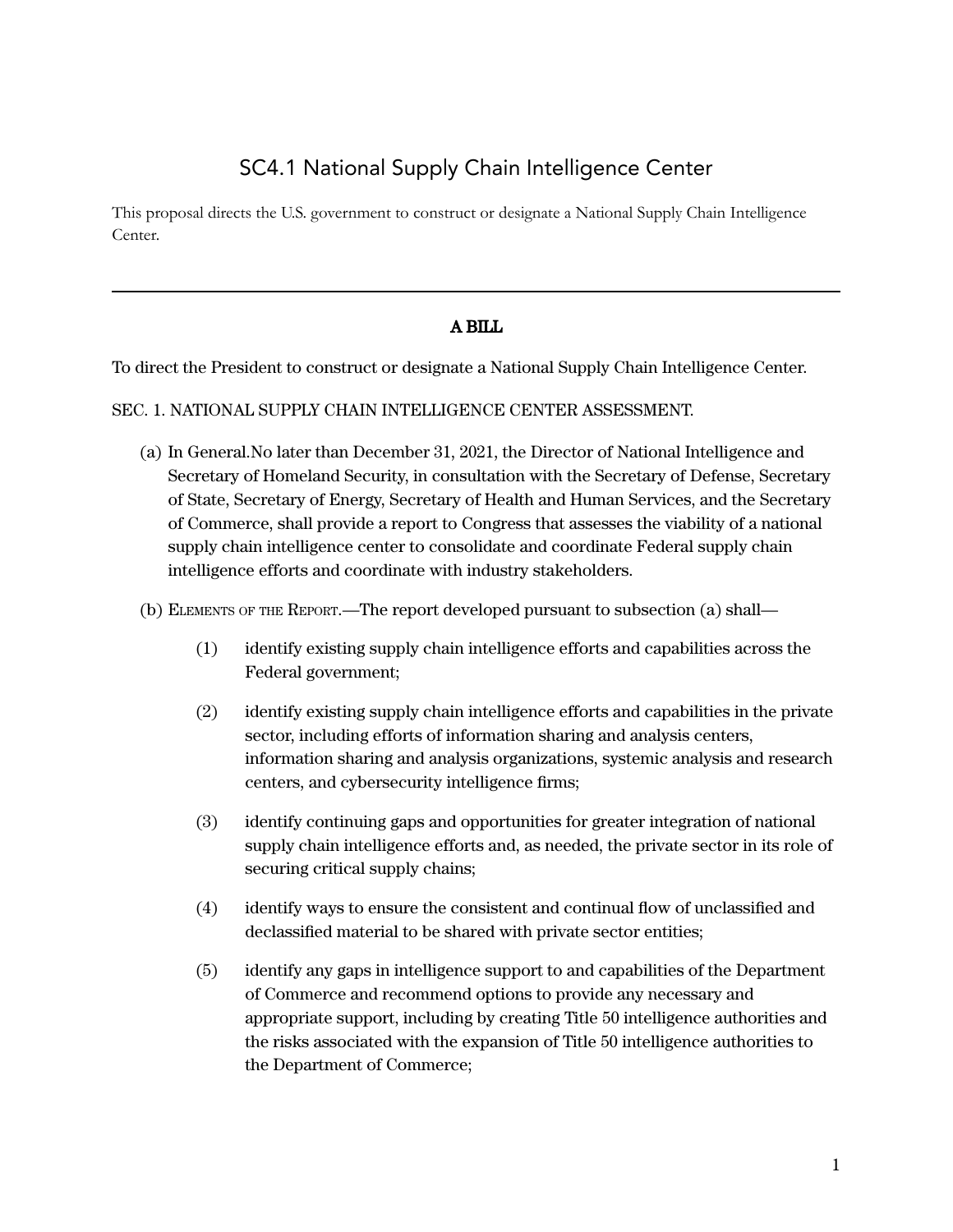## SC4.1 National Supply Chain Intelligence Center

This proposal directs the U.S. government to construct or designate a National Supply Chain Intelligence Center.

## A BILL

To direct the President to construct or designate a National Supply Chain Intelligence Center.

## SEC. 1. NATIONAL SUPPLY CHAIN INTELLIGENCE CENTER ASSESSMENT.

- (a) In General.No later than December 31, 2021, the Director of National Intelligence and Secretary of Homeland Security, in consultation with the Secretary of Defense, Secretary of State, Secretary of Energy, Secretary of Health and Human Services, and the Secretary of Commerce, shall provide a report to Congress that assesses the viability of a national supply chain intelligence center to consolidate and coordinate Federal supply chain intelligence efforts and coordinate with industry stakeholders.
- (b) ELEMENTS OF THE REPORT.—The report developed pursuant to subsection (a) shall—
	- (1) identify existing supply chain intelligence efforts and capabilities across the Federal government;
	- (2) identify existing supply chain intelligence efforts and capabilities in the private sector, including efforts of information sharing and analysis centers, information sharing and analysis organizations, systemic analysis and research centers, and cybersecurity intelligence firms;
	- (3) identify continuing gaps and opportunities for greater integration of national supply chain intelligence efforts and, as needed, the private sector in its role of securing critical supply chains;
	- (4) identify ways to ensure the consistent and continual flow of unclassified and declassified material to be shared with private sector entities;
	- (5) identify any gaps in intelligence support to and capabilities of the Department of Commerce and recommend options to provide any necessary and appropriate support, including by creating Title 50 intelligence authorities and the risks associated with the expansion of Title 50 intelligence authorities to the Department of Commerce;